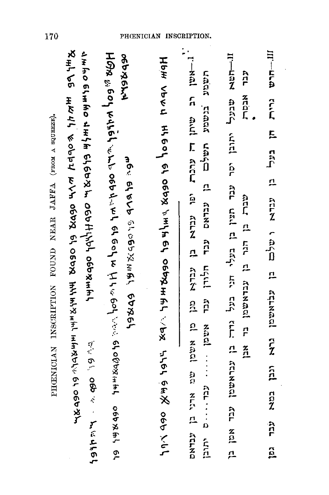י.<br>אשן רב שיתן רד ערכרת יפו עבדא מבן מן אשמן שמים ארי ג'-אשן רב שיתן ו-**Kith Ve HA4, やobp1 WVH OGDX 61 OGDX またままままます やくしゅく**  $III - H<sub>0</sub>$ とまおり のいまおり とまかま のかなみ ど ののせホンマケ ののはおまて HOR woo ruhel which who ost hap hand of sof in the sof vers stops with ost stops of וו-חשא שבעל יתובן יסר עבר תצין בן בעלי חני כעל גדר עבראשמן עבר אמן בן 502046 Hoth Vbvu תעופונ בנשמע תשלכם בן עבדאם עבד אופק אינה ו- עבד אופק ת<br>ה xtaur גרית חן בעל בן עברא ופלכם בן עבראשמן גרא ונבן במא HSBO SPSX VHIABA CGBAHA XAS SA SABA SAX mou el eur de de xuan la posa שברה בן הגר גם אשמש  $\frac{z}{\Omega}$ 1940 go and 1946 לבד<br>ג יתובן.<br>בי  $\frac{1}{2}$ 

170

PHENICIAN INSCRIPTION FOUND NEAR JAFFA (FROM A SQUEEZE).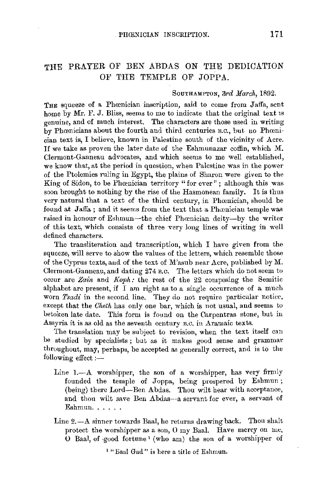## THE PRAYER OF BEN ABDAS ON THE DEDICATION OF THE TEMPLE OF JOPPA.

## SOUTHAMPTON, 3rd March, 1892.

THE squeeze of a Phœnician inscription, said to come from Jaffa, sent home by Mr. F. J. Bliss, seems to me to indicate that the original text is genuine, and of much interest. The characters are those used iu writing by Phœnicians about the fourth and third centuries B.C., but no Phœnician text is, I believe, known in Palestine south of the vicinity of Acre. If we take as proven the later date of the Eshmunazar coffin, which M. Clermont-Ganneau advocates, and which seems to me well established, we know that, at the period in question, when Palestine was in the power of the Ptolemies ruling in Egypt, the plains of Sharon were given to the King of Sidon, to be Phœnician territory "for ever"; although this was soon brought to nothing by the rise of the Hasmonean family. It is thus very natural that a text of the third century, in Phcenician, should be found at Jaffa; and it seems from the text that a Phoenician temple was raised in honour of Eshmun-the chief Phœnician deity--by the writer of this text, which consists of three very long lines of writing in well defined characters.

The transliteration and transcription, which I have given from the squeeze, will serve to show the values of the letters, which resemble those of the Cyprus texts, and of the text of M'asub near Acre, published by M. Clermont-Ganneau, and dating 274 B.c. The letters which do not seem to occur are *Zain* and *Koph:* the rest of the 22 composing the Semitic alphabet are present, if  $\bar{1}$  am right as to a single occurrence of a much worn *Tsadi* in the second line. They do not require particular notice, except that the *Cheth* has only one bar, which is not usual, and seems to betoken late date. This form is found on the Carpentras stone, but in Assyria it is as old as the seventh century B.C. in Aramaic texts.

The translation may be subject to revision, when the text itself can be studied by specialists ; but as it makes good sense and grammar throughout, may, perhaps, be accepted as generally correct, and is to the following effect  $:$   $-$ 

- Line 1.-A worshipper, the son of a worshipper, has very firmly founded the temple of Joppa, being prospered by Eshmun; (being) there Lord-Ben Abdas. Thou wilt hear with acceptance, and thou wilt save Ben Abdas---a servant for ever, a servant of Eshmun. . . . . .
- Line  $2.-A$  sinner towards Baal, he returns drawing back. Thou shalt protect the worshipper as a son, 0 my Baal. Have mercy on me, 0 Baal, of -good fortune 1 (who am) the son of a worshipper of

1 "Eaal Gad" is here a title of Eshmun.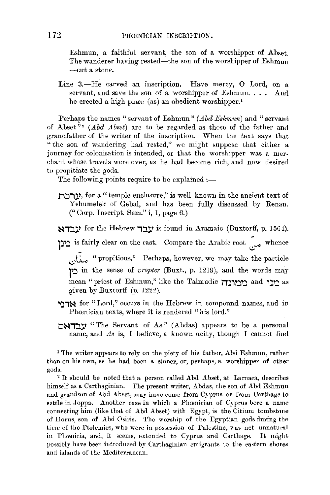Eshmun, a faithful servant, the son of a worshipper of Abset. The wanderer having rested—the son of the worshipper of Eshmun -cut a stone.

Line 3.-He carved an inscription. Have mercy, O Lord, on a servant, and save the son of a worshipper of Eshmun. And he erected a high place (as) an obedient worshipper.'

Perhaps the names "servant of Eshmun" *(Abd Eshmun)* and "servant" of Abset " <sup>2</sup>*(Abd* .1 *bset)* are to be regarded as those of the father and grandfather of the writer of the inscription. When the text says that "the son of wandering had rested," we might suppose that either a journey for colonisation is intended, or that the worshipper was a merchant whose travels were over, as he had become rich, aud now desired to propitiate the gods.

The following points require to be explained  $:$ ---

**'** $\mathbf{y}$ , for a " temple enclosure," is well known in the ancient text of Yehumelek of Gebal, and has been fully discussed by Renan. (" Corp. Inscript. Sem." i, I, page 6.)

**~i::iY** for the Hebrew **i::iY** is found in Aramaic (Buxtorff, p. l 56-1).

is fairly clear on the cast. Compare the Arabic root ~ whence

1,;.t•.,.. "propitious." Perhaps, however, we may take the particle <u>ו</u>ֹם in the sense of *vropter* (Buxt., p. 1219), and the words may mean "priest of Eshmun," like the Talmudic <u>ממונה</u> and and as given by Buxtorff (p. 1222).

- **'l~j~** for "Lord," occurs in the Hebrew in compound names, and in Phœnician texts, where it is rendered "his lord."
- **DATIV** "The Servant of As" (Abdas) appears to be a personal name, and *As* is, *I* believe, a known deity, though I cannot fiml

<sup>1</sup> The writer appears to rely on the piety of his father, Abd Eshmun, rather than on his own, as he had been a sinner, or, perhaps, a worshipper of other gods.

<sup>2</sup>It should be noted that a person called Abd Abset, at Larnaca, describes himself as a Carthaginian. The present writer, Abdas, the son of Abd Eshmun and grandson of Abd Abset, may have come from Cyprus or from Carthage to settle in Joppa. Another case in which a Phœnician of Cyprus bore a name connecting him (like that of Abd Abset) with Egypt., is the Citium tombstone of Horus, son of Abd Osiris. The worship of the Egyptian gods during the time of the Ptolemies, who were in possession of Palestine, was not unnatuml in Phcenieia, and, it seems, extended to Cyprus and Carthage. It might possibly have been introduced by Carthaginian emigrants to the eastern shores and islands of the Mediterranean.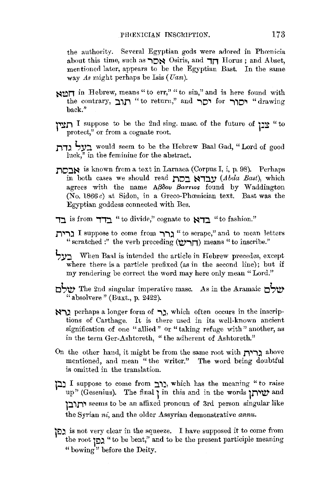the authority. Several Egyptian gods were adored in Phœnicia about this time, such as **'''** Osiris, and **1n** Horus ; and Abset, mentioned later, appears to be the Egyptian Bast. In the same way *As* might perhaps be Isis ( *Uasi).* 

- **SIMT** in Hebrew, means " to err," " to sin," and is here found with the contrary, **:l'1l1** "to return," and **iO'I for i'iO'I** "drawing back."
- **r~r,** I suppose to be the 2nd sing. masc. of the future of **p~** "to protect," or from a cognate root.
- **111:1 L,y::i,** would seem to be the Hebrew Baal Gad, "Lord of good luck," in the feminine for the abstract.
- **110:l~** is known from a text in Larnaca (Corpus I, i, p. 98). Perhaps in both cases we should read **110:l ~1::i.y** *(Abda Bast),* which agrees with the name ABoov Bacrios found by Waddington (No. 1866 $c$ ) at Sidon, in a Greco-Phoenician text. Bast was the Egyptian goddess connected with Bes.
- **i::i.** is from **1'1:l** "to divide," cognate to **~1:l** "to fashion."
- **l1"'"l)** I suppose to come from **i'"l)** "to scrape," and to mean letters " scratched :" the verb preceding **('tV'in)** means " to inscribe.''
- **Sy::i** When Baal is intended the article in Hebrew precedes, except where there is a particle prefixed (as in the second line); but if my rendering be correct the word may here only mean "Lord."
- **oS'tV'** The 2nd singular imperative masc. .As in the .Aramaic **oSw-** "absolvere" (Buxt., p. 2422).
- **~i)** perhaps a longer form of **i),** which often occurs in the inscriptions of Carthage. It is there used in its well-known ancient signification of one "allied" or "taking refuge with" another, as in the term Ger-Ashtoreth, "the adherent of Ashtoreth."
- On the other hand, it might be from the same root with **r;,i)** above mentioned, and mean "the writer." The word being doubtful is omitted in the translation.
- **i:l::l** I suppose to come from **J.'1j,** which has the meaning "to raise up" (Gesenius). The final **l** in this and in the words **111.,'IV'** and **l::J.'111.,** seems to be an affixed pronoun of 3rd person singular like the Syrian *ni*, and the older Assyrian demonstrative *annu*.
- **lO)** is not very clear in the squeeze. I have supposed it to come from the root " גָכֵן "to be bent," and to be the present participle meaning " bowing" before the Deity.